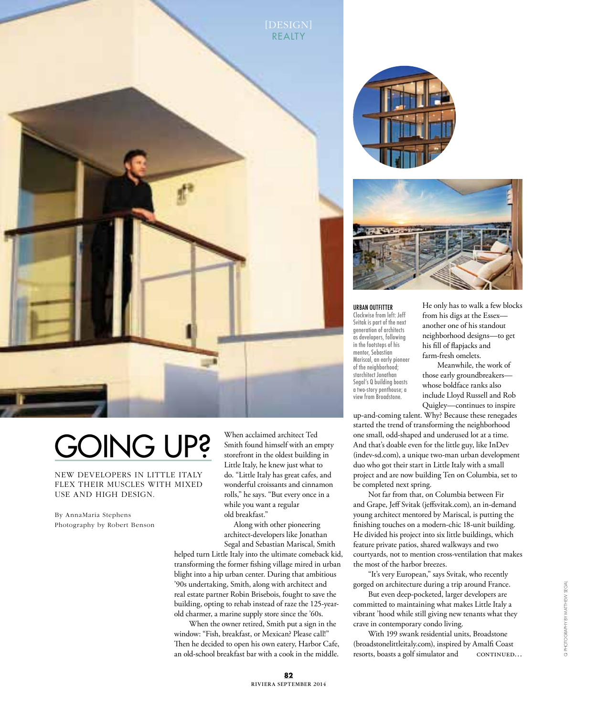

## Going up?

New developers in Little Italy flex their muscles with mixed use and high design.

By AnnaMaria Stephens Photography by Robert Benson

When acclaimed architect Ted Smith found himself with an empty storefront in the oldest building in Little Italy, he knew just what to do. "Little Italy has great cafes, and wonderful croissants and cinnamon rolls," he says. "But every once in a while you want a regular old breakfast."

Along with other pioneering architect-developers like Jonathan Segal and Sebastian Mariscal, Smith

helped turn Little Italy into the ultimate comeback kid, transforming the former fishing village mired in urban blight into a hip urban center. During that ambitious '90s undertaking, Smith, along with architect and real estate partner Robin Brisebois, fought to save the building, opting to rehab instead of raze the 125-yearold charmer, a marine supply store since the '60s.

When the owner retired, Smith put a sign in the window: "Fish, breakfast, or Mexican? Please call!" Then he decided to open his own eatery, Harbor Cafe, an old-school breakfast bar with a cook in the middle.





urban outfitter Clockwise from left: Jeff Svitak is part of the next generation of architects as developers, following in the footsteps of his mentor, Sebastian Mariscal, an early pioneer of the neighborhood; starchitect Jonathan Segal's Q building boasts a two-story penthouse; a view from Broadstone.

He only has to walk a few blocks from his digs at the Essex another one of his standout neighborhood designs—to get his fill of flapjacks and farm-fresh omelets.

Meanwhile, the work of those early groundbreakers whose boldface ranks also include Lloyd Russell and Rob Quigley—continues to inspire

up-and-coming talent. Why? Because these renegades started the trend of transforming the neighborhood one small, odd-shaped and underused lot at a time. And that's doable even for the little guy, like InDev (indev-sd.com), a unique two-man urban development duo who got their start in Little Italy with a small project and are now building Ten on Columbia, set to be completed next spring.

Not far from that, on Columbia between Fir and Grape, Jeff Svitak (jeffsvitak.com), an in-demand young architect mentored by Mariscal, is putting the finishing touches on a modern-chic 18-unit building. He divided his project into six little buildings, which feature private patios, shared walkways and two courtyards, not to mention cross-ventilation that makes the most of the harbor breezes.

"It's very European," says Svitak, who recently gorged on architecture during a trip around France.

But even deep-pocketed, larger developers are committed to maintaining what makes Little Italy a vibrant 'hood while still giving new tenants what they crave in contemporary condo living.

With 199 swank residential units, Broadstone (broadstonelittleitaly.com), inspired by Amalfi Coast resorts, boasts a golf simulator and continued…